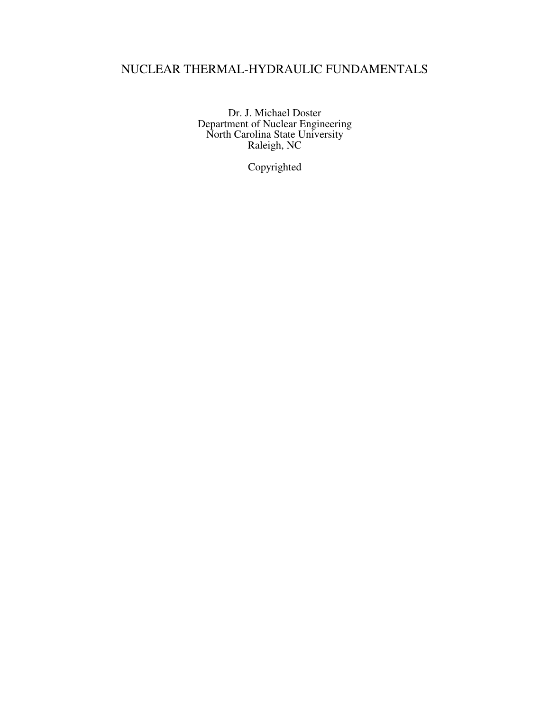# NUCLEAR THERMAL-HYDRAULIC FUNDAMENTALS

Dr. J. Michael Doster Department of Nuclear Engineering North Carolina State University Raleigh, NC

Copyrighted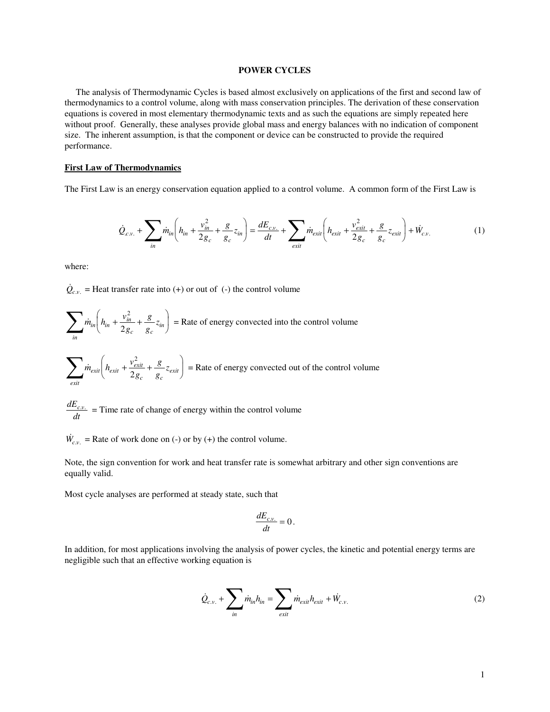### **POWER CYCLES**

The analysis of Thermodynamic Cycles is based almost exclusively on applications of the first and second law of thermodynamics to a control volume, along with mass conservation principles. The derivation of these conservation equations is covered in most elementary thermodynamic texts and as such the equations are simply repeated here without proof. Generally, these analyses provide global mass and energy balances with no indication of component size. The inherent assumption, is that the component or device can be constructed to provide the required performance.

## **First Law of Thermodynamics**

The First Law is an energy conservation equation applied to a control volume. A common form of the First Law is

$$
\dot{Q}_{c.v.} + \sum_{in} \dot{m}_{in} \left( h_{in} + \frac{v_{in}^2}{2g_c} + \frac{g}{g_c} z_{in} \right) = \frac{dE_{c.v.}}{dt} + \sum_{exit} \dot{m}_{exit} \left( h_{exit} + \frac{v_{exit}^2}{2g_c} + \frac{g}{g_c} z_{exit} \right) + \dot{W}_{c.v.}
$$
(1)

where:

 $\dot{Q}_{c.v.}$  = Heat transfer rate into (+) or out of (-) the control volume

$$
\sum_{in} m_{in} \left( h_{in} + \frac{v_{in}^2}{2g_c} + \frac{g}{g_c} z_{in} \right) = \text{Rate of energy converted into the control volume}
$$

$$
\sum_{exit} \dot{m}_{exit} \left( h_{exit} + \frac{v_{exit}^2}{2g_c} + \frac{g}{g_c} z_{exit} \right) = \text{Rate of energy converted out of the control volume}
$$

*dE*  $\frac{dE_{c.v.}}{dt}$  = Time rate of change of energy within the control volume

 $\dot{W}_{c,v}$  = Rate of work done on (-) or by (+) the control volume.

Note, the sign convention for work and heat transfer rate is somewhat arbitrary and other sign conventions are equally valid.

Most cycle analyses are performed at steady state, such that

$$
\frac{dE_{c.v.}}{dt}=0\,.
$$

In addition, for most applications involving the analysis of power cycles, the kinetic and potential energy terms are negligible such that an effective working equation is

$$
\dot{Q}_{c.v.} + \sum_{in} \dot{m}_{in} h_{in} = \sum_{exit} \dot{m}_{exit} h_{exit} + \dot{W}_{c.v.}
$$
\n(2)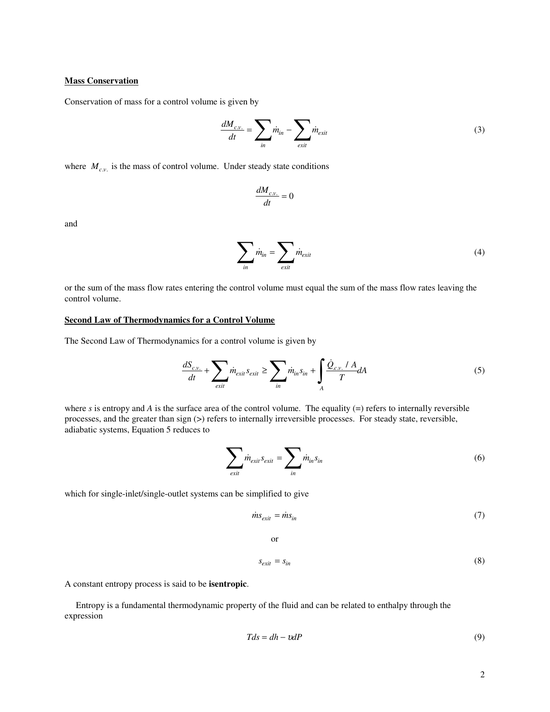## **Mass Conservation**

Conservation of mass for a control volume is given by

$$
\frac{dM_{cv.}}{dt} = \sum_{in} \dot{m}_{in} - \sum_{exit} \dot{m}_{exit}
$$
\n(3)

where  $M_{c.v.}$  is the mass of control volume. Under steady state conditions

$$
\frac{dM_{c.v.}}{dt} = 0
$$

and

$$
\sum_{in} \dot{m}_{in} = \sum_{exit} \dot{m}_{exit} \tag{4}
$$

or the sum of the mass flow rates entering the control volume must equal the sum of the mass flow rates leaving the control volume.

### **Second Law of Thermodynamics for a Control Volume**

The Second Law of Thermodynamics for a control volume is given by

$$
\frac{dS_{c.v.}}{dt} + \sum_{exit} \dot{m}_{exit} s_{exit} \ge \sum_{in} \dot{m}_{in} s_{in} + \int_{A} \frac{\dot{Q}_{c.v.} / A}{T} dA \tag{5}
$$

where  $s$  is entropy and  $A$  is the surface area of the control volume. The equality  $(=)$  refers to internally reversible processes, and the greater than sign (>) refers to internally irreversible processes. For steady state, reversible, adiabatic systems, Equation 5 reduces to

$$
\sum_{exit} \dot{m}_{exit} s_{exit} = \sum_{in} \dot{m}_{in} s_{in}
$$
 (6)

which for single-inlet/single-outlet systems can be simplified to give

$$
\dot{m}s_{exit} = \dot{m}s_{in} \tag{7}
$$

or

$$
s_{exit} = s_{in} \tag{8}
$$

A constant entropy process is said to be **isentropic**.

Entropy is a fundamental thermodynamic property of the fluid and can be related to enthalpy through the expression

$$
Tds = dh - v dP \tag{9}
$$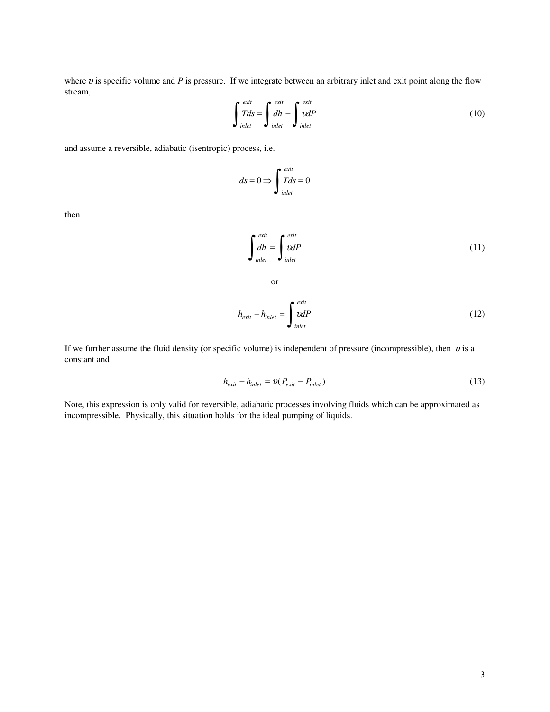where  $v$  is specific volume and  $P$  is pressure. If we integrate between an arbitrary inlet and exit point along the flow stream,

$$
\int_{inlet}^{exit} T ds = \int_{inlet}^{exit} dh - \int_{inlet}^{exit} v dP
$$
 (10)

and assume a reversible, adiabatic (isentropic) process, i.e.

$$
ds = 0 \Longrightarrow \int_{inlet}^{exit} T ds = 0
$$

then

$$
\int_{inlet}^{exit} = \int_{inlet}^{exit} \omega lP
$$
 (11)

or

$$
h_{exit} - h_{inlet} = \int_{inlet}^{exit} \omega dP
$$
 (12)

If we further assume the fluid density (or specific volume) is independent of pressure (incompressible), then  $v$  is a constant and

$$
h_{exit} - h_{inlet} = \nu(P_{exit} - P_{inlet})
$$
\n(13)

Note, this expression is only valid for reversible, adiabatic processes involving fluids which can be approximated as incompressible. Physically, this situation holds for the ideal pumping of liquids.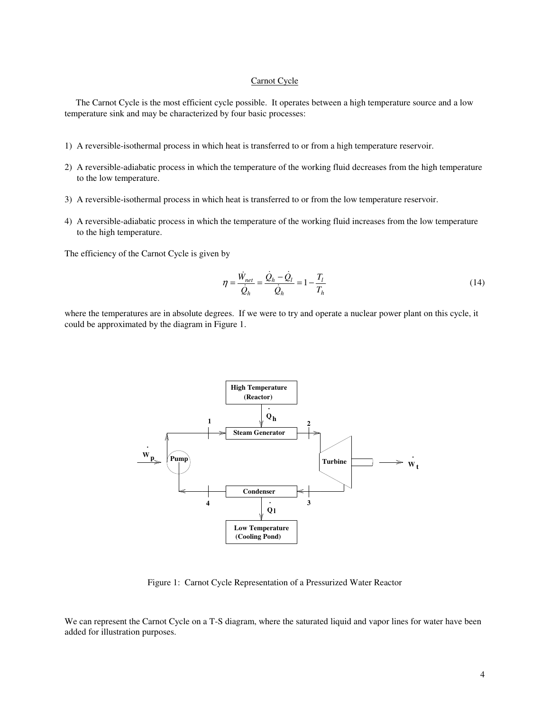## Carnot Cycle

The Carnot Cycle is the most efficient cycle possible. It operates between a high temperature source and a low temperature sink and may be characterized by four basic processes:

- 1) A reversible-isothermal process in which heat is transferred to or from a high temperature reservoir.
- 2) A reversible-adiabatic process in which the temperature of the working fluid decreases from the high temperature to the low temperature.
- 3) A reversible-isothermal process in which heat is transferred to or from the low temperature reservoir.
- 4) A reversible-adiabatic process in which the temperature of the working fluid increases from the low temperature to the high temperature.

The efficiency of the Carnot Cycle is given by

$$
\eta = \frac{\dot{W}_{net}}{\dot{Q}_h} = \frac{\dot{Q}_h - \dot{Q}_l}{\dot{Q}_h} = 1 - \frac{T_l}{T_h}
$$
(14)

where the temperatures are in absolute degrees. If we were to try and operate a nuclear power plant on this cycle, it could be approximated by the diagram in Figure 1.



Figure 1: Carnot Cycle Representation of a Pressurized Water Reactor

We can represent the Carnot Cycle on a T-S diagram, where the saturated liquid and vapor lines for water have been added for illustration purposes.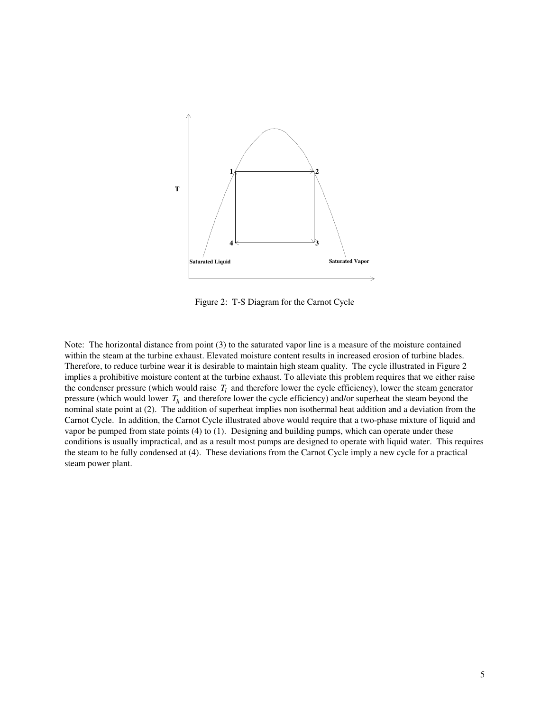

Figure 2: T-S Diagram for the Carnot Cycle

Note: The horizontal distance from point (3) to the saturated vapor line is a measure of the moisture contained within the steam at the turbine exhaust. Elevated moisture content results in increased erosion of turbine blades. Therefore, to reduce turbine wear it is desirable to maintain high steam quality. The cycle illustrated in Figure 2 implies a prohibitive moisture content at the turbine exhaust. To alleviate this problem requires that we either raise the condenser pressure (which would raise  $T_l$  and therefore lower the cycle efficiency), lower the steam generator pressure (which would lower *T<sup>h</sup>* and therefore lower the cycle efficiency) and/or superheat the steam beyond the nominal state point at (2). The addition of superheat implies non isothermal heat addition and a deviation from the Carnot Cycle. In addition, the Carnot Cycle illustrated above would require that a two-phase mixture of liquid and vapor be pumped from state points (4) to (1). Designing and building pumps, which can operate under these conditions is usually impractical, and as a result most pumps are designed to operate with liquid water. This requires the steam to be fully condensed at (4). These deviations from the Carnot Cycle imply a new cycle for a practical steam power plant.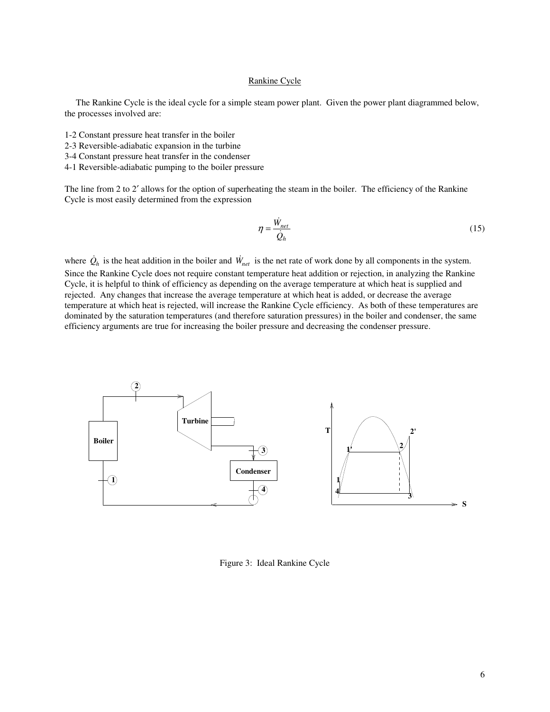## Rankine Cycle

The Rankine Cycle is the ideal cycle for a simple steam power plant. Given the power plant diagrammed below, the processes involved are:

- 1-2 Constant pressure heat transfer in the boiler
- 2-3 Reversible-adiabatic expansion in the turbine
- 3-4 Constant pressure heat transfer in the condenser
- 4-1 Reversible-adiabatic pumping to the boiler pressure

The line from 2 to 2' allows for the option of superheating the steam in the boiler. The efficiency of the Rankine Cycle is most easily determined from the expression

$$
\eta = \frac{\dot{W}_{net}}{\dot{Q}_h} \tag{15}
$$

where  $\dot{Q}_h$  is the heat addition in the boiler and  $\dot{W}_{net}$  is the net rate of work done by all components in the system. Since the Rankine Cycle does not require constant temperature heat addition or rejection, in analyzing the Rankine Cycle, it is helpful to think of efficiency as depending on the average temperature at which heat is supplied and rejected. Any changes that increase the average temperature at which heat is added, or decrease the average temperature at which heat is rejected, will increase the Rankine Cycle efficiency. As both of these temperatures are dominated by the saturation temperatures (and therefore saturation pressures) in the boiler and condenser, the same efficiency arguments are true for increasing the boiler pressure and decreasing the condenser pressure.



Figure 3: Ideal Rankine Cycle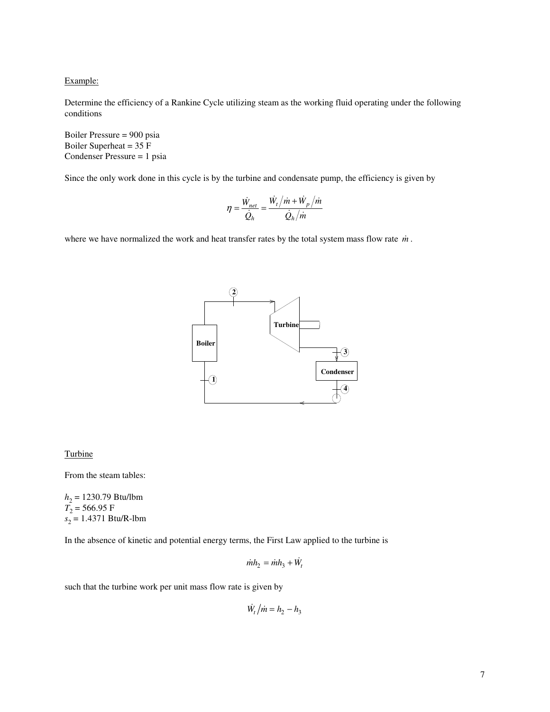Example:

Determine the efficiency of a Rankine Cycle utilizing steam as the working fluid operating under the following conditions

Boiler Pressure = 900 psia Boiler Superheat = 35 F Condenser Pressure = 1 psia

Since the only work done in this cycle is by the turbine and condensate pump, the efficiency is given by

$$
\eta = \frac{\dot{W}_{net}}{\dot{Q}_h} = \frac{\dot{W}_t}{\dot{Q}_h}/\dot{m} + \dot{W}_p/\dot{m}
$$

where we have normalized the work and heat transfer rates by the total system mass flow rate *m* .



#### **Turbine**

From the steam tables:

*h*2 = 1230.79 Btu/lbm  $T_2$  = 566.95 F *s* 2 = 1.4371 Btu/R-lbm

In the absence of kinetic and potential energy terms, the First Law applied to the turbine is

$$
\dot{m}h_2 = \dot{m}h_3 + \dot{W}_t
$$

such that the turbine work per unit mass flow rate is given by

 $W_t / m = h_2 - h_3$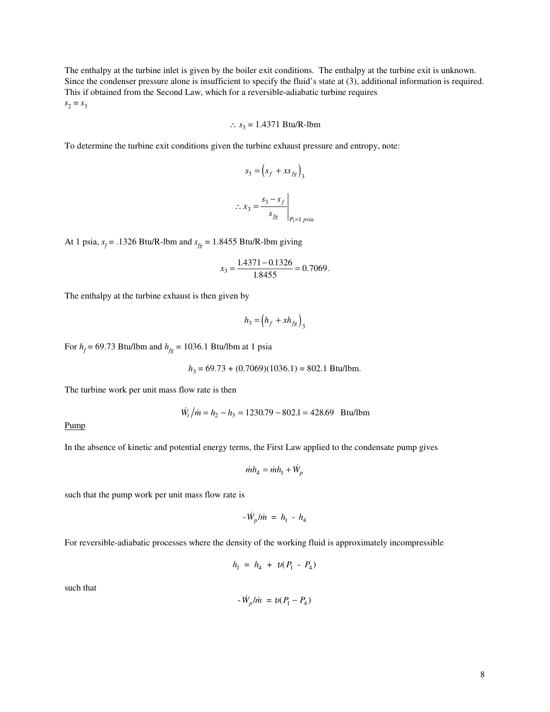The enthalpy at the turbine inlet is given by the boiler exit conditions. The enthalpy at the turbine exit is unknown. Since the condenser pressure alone is insufficient to specify the fluid's state at (3), additional information is required. This if obtained from the Second Law, which for a reversible-adiabatic turbine requires  $s_2 = s_3$ 

∴ 
$$
s_3 = 1.4371 \text{ Btu/R-lbm}
$$

To determine the turbine exit conditions given the turbine exhaust pressure and entropy, note:

$$
s_3 = \left(s_f + xs_{fg}\right)_3
$$

$$
\therefore x_3 = \frac{s_3 - s_f}{s_{fg}}\bigg|_{P_3 = 1 \text{ psia}}
$$

At 1 psia,  $s_f$  = .1326 Btu/R-lbm and  $s_{fg}$  = 1.8455 Btu/R-lbm giving

$$
x_3 = \frac{1.4371 - 0.1326}{1.8455} = 0.7069.
$$

The enthalpy at the turbine exhaust is then given by

$$
h_3 = \left(h_f + xh_{fg}\right)_3
$$

For  $h_f$  = 69.73 Btu/lbm and  $h_{fg}$  = 1036.1 Btu/lbm at 1 psia

*h*3 = 69.73 + (0.7069)(1036.1) = 802.1 Btu/lbm.

The turbine work per unit mass flow rate is then

$$
\dot{W}_t / \dot{m} = h_2 - h_3 = 1230.79 - 802.1 = 428.69 \text{ Btu/lbm}
$$

Pump

In the absence of kinetic and potential energy terms, the First Law applied to the condensate pump gives

$$
\dot{m}h_4 = \dot{m}h_1 + \dot{W}_p
$$

such that the pump work per unit mass flow rate is

 $-\dot{W}_p / \dot{m} = h_1 - h_4$ 

For reversible-adiabatic processes where the density of the working fluid is approximately incompressible

$$
h_1 = h_4 + v(P_1 - P_4)
$$

such that

$$
- \dot{W}_p / \dot{m} = v(P_1 - P_4)
$$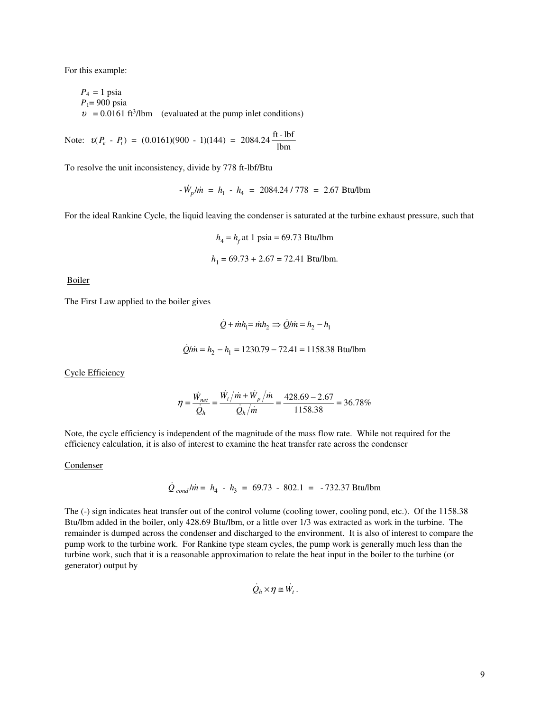For this example:

 $P_4 = 1$  psia *P*1= 900 psia  $v = 0.0161 \text{ ft}^3/\text{lbm}$  (evaluated at the pump inlet conditions)

Note:  $u(P_e - P_i) = (0.0161)(900 - 1)(144) = 2084.24 \frac{\text{ft} - \text{lbf}}{\text{m}}$  $P_e$  -  $P_i$ ) = (0.0161)(900 - 1)(144) = 2084.24  $\frac{160}{10}$ 

To resolve the unit inconsistency, divide by 778 ft-lbf/Btu

$$
-W_p/m = h_1 - h_4 = 2084.24 / 778 = 2.67
$$
 Btu/lbm

For the ideal Rankine Cycle, the liquid leaving the condenser is saturated at the turbine exhaust pressure, such that

$$
h_4 = h_f
$$
 at 1 psia = 69.73 Btu/lbm  
 $h_1 = 69.73 + 2.67 = 72.41$  Btu/lbm.

Boiler

The First Law applied to the boiler gives

 $\dot{Q} + \dot{m}h_1 = \dot{m}h_2 \Rightarrow \dot{Q}/\dot{m} = h_2 - h_1$  $Q/m = h_2 - h_1 = 1230.79 - 72.41 = 1158.38$  Btu/lbm

Cycle Efficiency

$$
\eta = \frac{\dot{W}_{net}}{\dot{Q}_h} = \frac{\dot{W}_t/\dot{m} + \dot{W}_p/\dot{m}}{\dot{Q}_h/\dot{m}} = \frac{428.69 - 2.67}{1158.38} = 36.78\%
$$

Note, the cycle efficiency is independent of the magnitude of the mass flow rate. While not required for the efficiency calculation, it is also of interest to examine the heat transfer rate across the condenser

#### **Condenser**

$$
\dot{Q}_{cond}/\dot{m} = h_4 - h_3 = 69.73 - 802.1 = -732.37 \text{ Btu/lbm}
$$

The (-) sign indicates heat transfer out of the control volume (cooling tower, cooling pond, etc.). Of the 1158.38 Btu/lbm added in the boiler, only 428.69 Btu/lbm, or a little over 1/3 was extracted as work in the turbine. The remainder is dumped across the condenser and discharged to the environment. It is also of interest to compare the pump work to the turbine work. For Rankine type steam cycles, the pump work is generally much less than the turbine work, such that it is a reasonable approximation to relate the heat input in the boiler to the turbine (or generator) output by

$$
\dot{Q}_h \times \eta \cong \dot{W}_t.
$$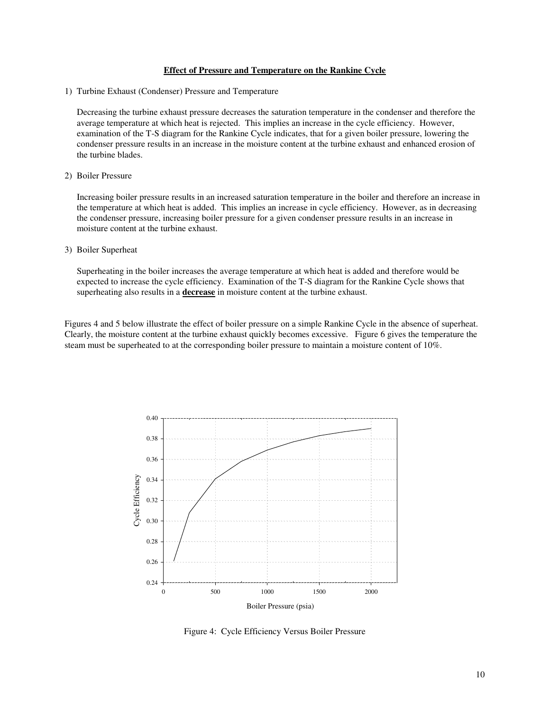#### **Effect of Pressure and Temperature on the Rankine Cycle**

1) Turbine Exhaust (Condenser) Pressure and Temperature

Decreasing the turbine exhaust pressure decreases the saturation temperature in the condenser and therefore the average temperature at which heat is rejected. This implies an increase in the cycle efficiency. However, examination of the T-S diagram for the Rankine Cycle indicates, that for a given boiler pressure, lowering the condenser pressure results in an increase in the moisture content at the turbine exhaust and enhanced erosion of the turbine blades.

#### 2) Boiler Pressure

Increasing boiler pressure results in an increased saturation temperature in the boiler and therefore an increase in the temperature at which heat is added. This implies an increase in cycle efficiency. However, as in decreasing the condenser pressure, increasing boiler pressure for a given condenser pressure results in an increase in moisture content at the turbine exhaust.

#### 3) Boiler Superheat

Superheating in the boiler increases the average temperature at which heat is added and therefore would be expected to increase the cycle efficiency. Examination of the T-S diagram for the Rankine Cycle shows that superheating also results in a **decrease** in moisture content at the turbine exhaust.

Figures 4 and 5 below illustrate the effect of boiler pressure on a simple Rankine Cycle in the absence of superheat. Clearly, the moisture content at the turbine exhaust quickly becomes excessive. Figure 6 gives the temperature the steam must be superheated to at the corresponding boiler pressure to maintain a moisture content of 10%.



Figure 4: Cycle Efficiency Versus Boiler Pressure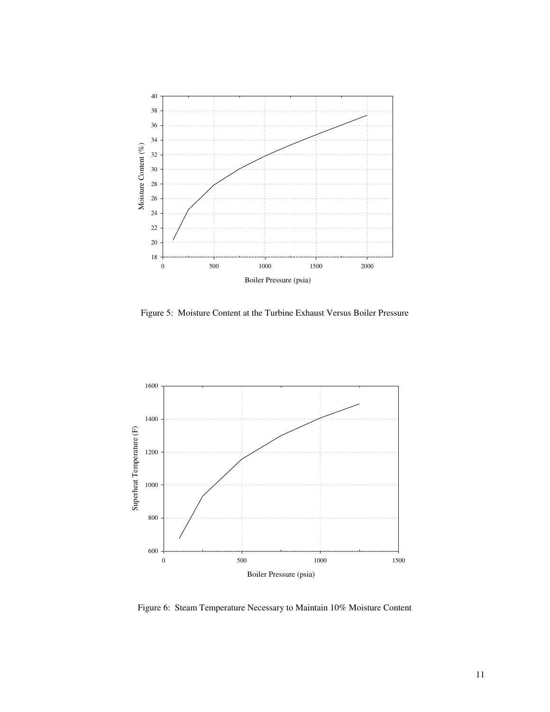

Figure 5: Moisture Content at the Turbine Exhaust Versus Boiler Pressure



Figure 6: Steam Temperature Necessary to Maintain 10% Moisture Content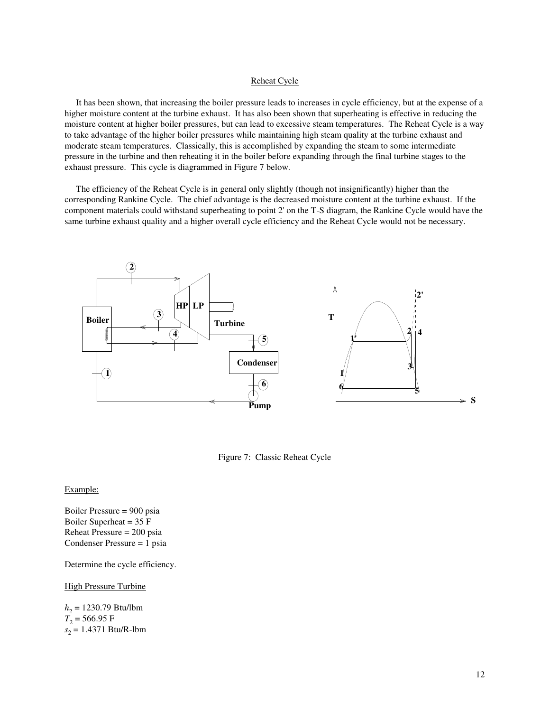#### Reheat Cycle

It has been shown, that increasing the boiler pressure leads to increases in cycle efficiency, but at the expense of a higher moisture content at the turbine exhaust. It has also been shown that superheating is effective in reducing the moisture content at higher boiler pressures, but can lead to excessive steam temperatures. The Reheat Cycle is a way to take advantage of the higher boiler pressures while maintaining high steam quality at the turbine exhaust and moderate steam temperatures. Classically, this is accomplished by expanding the steam to some intermediate pressure in the turbine and then reheating it in the boiler before expanding through the final turbine stages to the exhaust pressure. This cycle is diagrammed in Figure 7 below.

The efficiency of the Reheat Cycle is in general only slightly (though not insignificantly) higher than the corresponding Rankine Cycle. The chief advantage is the decreased moisture content at the turbine exhaust. If the component materials could withstand superheating to point 2'on the T-S diagram, the Rankine Cycle would have the same turbine exhaust quality and a higher overall cycle efficiency and the Reheat Cycle would not be necessary.



Figure 7: Classic Reheat Cycle

#### Example:

Boiler Pressure = 900 psia Boiler Superheat = 35 F Reheat Pressure = 200 psia Condenser Pressure = 1 psia

Determine the cycle efficiency.

#### High Pressure Turbine

*h*2 = 1230.79 Btu/lbm  $T_2$  = 566.95 F *s* 2 = 1.4371 Btu/R-lbm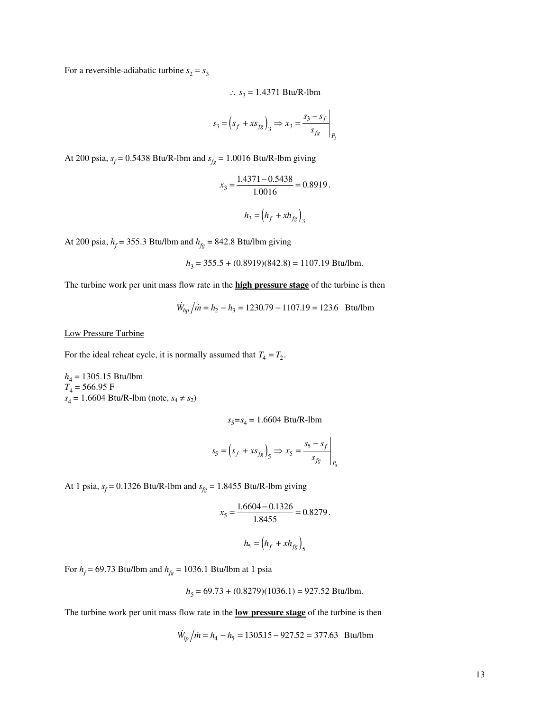For a reversible-adiabatic turbine  $s_2 = s_3$ 

∴ 
$$
s_3 = 1.4371 \text{ Btu/R-lbm}
$$

$$
s_3 = \left(s_f + xs_{fg}\right)_3 \Longrightarrow x_3 = \frac{s_3 - s_f}{s_{fg}}\bigg|_{P_3}
$$

At 200 psia,  $s_f = 0.5438$  Btu/R-lbm and  $s_{fg} = 1.0016$  Btu/R-lbm giving

$$
x_3 = \frac{1.4371 - 0.5438}{1.0016} = 0.8919.
$$
  

$$
h_3 = (h_f + xh_{fg})_3
$$

At 200 psia,  $h_f$  = 355.3 Btu/lbm and  $h_{fg}$  = 842.8 Btu/lbm giving

$$
h_3 = 355.5 + (0.8919)(842.8) = 1107.19
$$
 Btu/lbm.

The turbine work per unit mass flow rate in the **high pressure stage** of the turbine is then

 $W_{hp}/\dot{m} = h_2 - h_3 = 1230.79 - 1107.19 = 123.6$  Btu/lbm

Low Pressure Turbine

For the ideal reheat cycle, it is normally assumed that  $T_4 = T_2$ .

*h*4 = 1305.15 Btu/lbm *T*4 = 566.95 F  $s_4 = 1.6604 \text{ Btu/R-lbm (note, } s_4 \neq s_2$ 

*s* <sup>5</sup>*=s* 4 = 1.6604 Btu/R-lbm

 $\overline{1}$ 

$$
s_5 = \left(s_f + xs_{fg}\right)_5 \Longrightarrow x_5 = \frac{s_5 - s_f}{s_{fg}}\bigg|_{P_5}
$$

At 1 psia,  $s_f = 0.1326$  Btu/R-lbm and  $s_{fg} = 1.8455$  Btu/R-lbm giving

$$
x_5 = \frac{1.6604 - 0.1326}{1.8455} = 0.8279.
$$

$$
h_5 = \left(h_f + xh_{fg}\right)_5
$$

For  $h_f$  = 69.73 Btu/lbm and  $h_{fg}$  = 1036.1 Btu/lbm at 1 psia

$$
h_5 = 69.73 + (0.8279)(1036.1) = 927.52
$$
 Btu/lbm.

The turbine work per unit mass flow rate in the **low pressure stage** of the turbine is then

$$
\dot{W}_{lp}/\dot{m} = h_4 - h_5 = 1305.15 - 927.52 = 377.63 \text{ Btu/lbm}
$$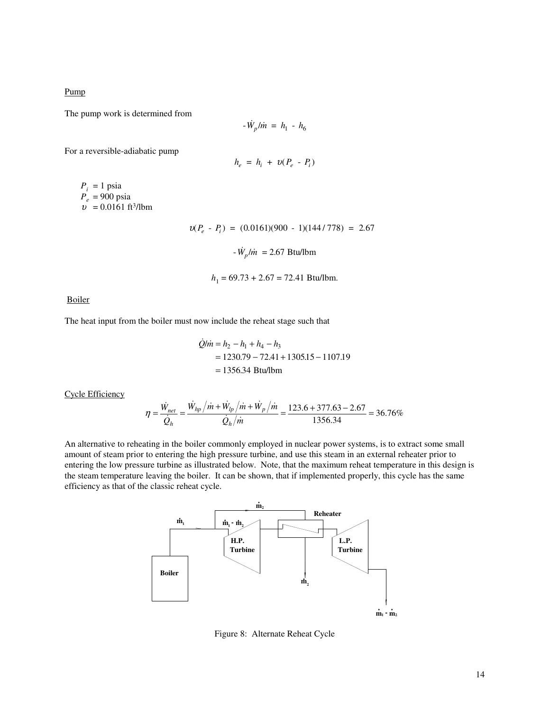Pump

The pump work is determined from

$$
- \dot{W}_p / \dot{m} = h_1 - h_6
$$

For a reversible-adiabatic pump

$$
h_e = h_i + v(P_e - P_i)
$$

 $P_i = 1$  psia *Pe* = 900 psia  $v = 0.0161 \text{ ft}^3/\text{lbm}$ 

$$
v(P_e - P_i) = (0.0161)(900 - 1)(144/778) = 2.67
$$

 $-\dot{W}_p/\dot{m} = 2.67$  Btu/lbm

$$
h_1 = 69.73 + 2.67 = 72.41
$$
 Btu/lbm.

Boiler

The heat input from the boiler must now include the reheat stage such that

 $\mathbb{R}^2$ 

$$
\dot{Q}/\dot{m} = h_2 - h_1 + h_4 - h_3
$$
  
= 1230.79 - 72.41 + 1305.15 - 1107.19  
= 1356.34 Btu/lbm

Cycle Efficiency

$$
\eta = \frac{\dot{W}_{net}}{\dot{Q}_h} = \frac{\dot{W}_{hp} / \dot{m} + \dot{W}_{lp} / \dot{m} + \dot{W}_p / \dot{m}}{\dot{Q}_h / \dot{m}} = \frac{123.6 + 377.63 - 2.67}{1356.34} = 36.76\%
$$

An alternative to reheating in the boiler commonly employed in nuclear power systems, is to extract some small amount of steam prior to entering the high pressure turbine, and use this steam in an external reheater prior to entering the low pressure turbine as illustrated below. Note, that the maximum reheat temperature in this design is the steam temperature leaving the boiler. It can be shown, that if implemented properly, this cycle has the same efficiency as that of the classic reheat cycle.



Figure 8: Alternate Reheat Cycle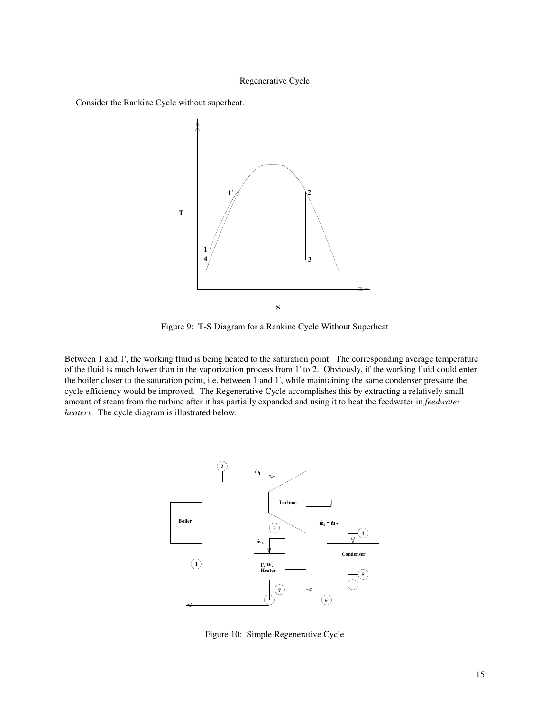## Regenerative Cycle

Consider the Rankine Cycle without superheat.



Figure 9: T-S Diagram for a Rankine Cycle Without Superheat

Between 1 and 1', the working fluid is being heated to the saturation point. The corresponding average temperature of the fluid is much lower than in the vaporization process from 1'to 2. Obviously, if the working fluid could enter the boiler closer to the saturation point, i.e. between 1 and 1', while maintaining the same condenser pressure the cycle efficiency would be improved. The Regenerative Cycle accomplishes this by extracting a relatively small amount of steam from the turbine after it has partially expanded and using it to heat the feedwater in *feedwater heaters*. The cycle diagram is illustrated below.



Figure 10: Simple Regenerative Cycle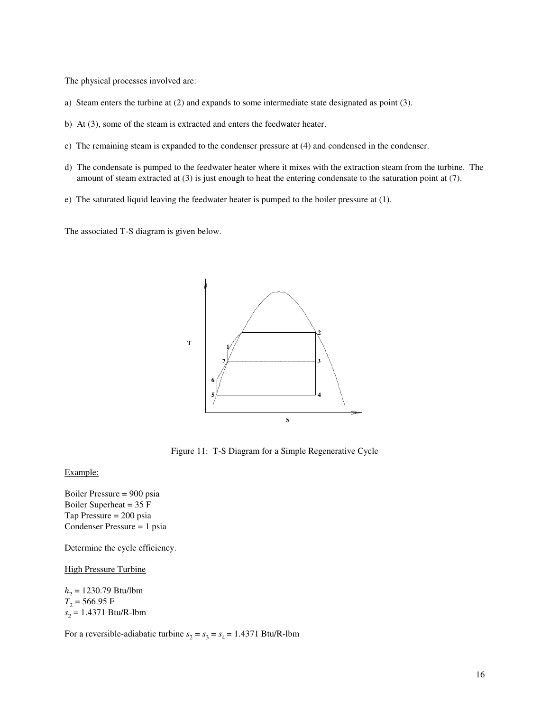The physical processes involved are:

- a) Steam enters the turbine at (2) and expands to some intermediate state designated as point (3).
- b) At (3), some of the steam is extracted and enters the feedwater heater.
- c) The remaining steam is expanded to the condenser pressure at (4) and condensed in the condenser.
- d) The condensate is pumped to the feedwater heater where it mixes with the extraction steam from the turbine. The amount of steam extracted at (3) is just enough to heat the entering condensate to the saturation point at (7).
- e) The saturated liquid leaving the feedwater heater is pumped to the boiler pressure at (1).

The associated T-S diagram is given below.



Figure 11: T-S Diagram for a Simple Regenerative Cycle

### Example:

Boiler Pressure = 900 psia Boiler Superheat = 35 F Tap Pressure = 200 psia Condenser Pressure = 1 psia

Determine the cycle efficiency.

High Pressure Turbine

*h*2 = 1230.79 Btu/lbm  $T_2$  = 566.95 F *s* 2 = 1.4371 Btu/R-lbm

For a reversible-adiabatic turbine  $s_2 = s_3 = s_4 = 1.4371$  Btu/R-lbm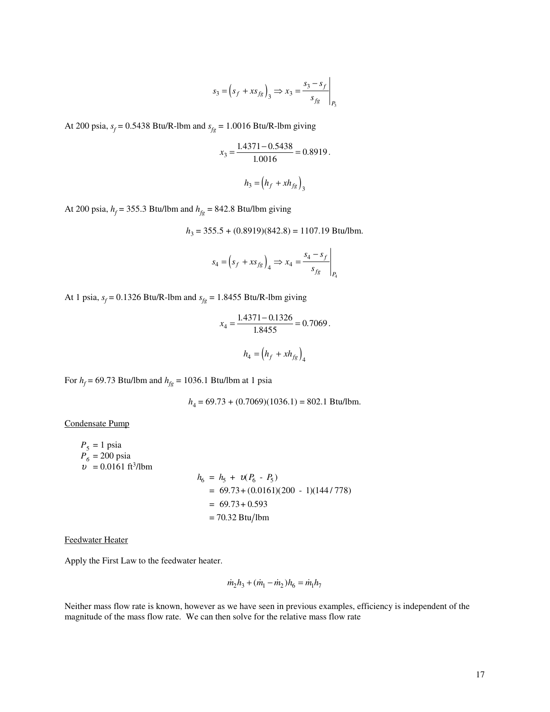$$
s_3 = \left(s_f + xs_{fg}\right)_3 \Longrightarrow x_3 = \frac{s_3 - s_f}{s_{fg}}\bigg|_{P_3}
$$

At 200 psia,  $s_f = 0.5438$  Btu/R-lbm and  $s_{fg} = 1.0016$  Btu/R-lbm giving

$$
x_3 = \frac{1.4371 - 0.5438}{1.0016} = 0.8919.
$$

$$
h_3 = (h_f + xh_{fg})_3
$$

At 200 psia,  $h_f$  = 355.3 Btu/lbm and  $h_{fg}$  = 842.8 Btu/lbm giving

$$
h_3 = 355.5 + (0.8919)(842.8) = 1107.19
$$
 Btu/lbm.

 $\mathbf{r}$ 

$$
s_4 = \left(s_f + xs_{fg}\right)_4 \Longrightarrow x_4 = \frac{s_4 - s_f}{s_{fg}}\Bigg|_{P_4}
$$

At 1 psia,  $s_f = 0.1326$  Btu/R-lbm and  $s_{fg} = 1.8455$  Btu/R-lbm giving

$$
x_4 = \frac{1.4371 - 0.1326}{1.8455} = 0.7069.
$$
  

$$
h_4 = (h_f + xh_{fg})_4
$$

For  $h_f$  = 69.73 Btu/lbm and  $h_{fg}$  = 1036.1 Btu/lbm at 1 psia

*h*4 = 69.73 + (0.7069)(1036.1) = 802.1 Btu/lbm.

Condensate Pump

$$
P_5 = 1 \text{ psia}
$$
  
\n
$$
P_6 = 200 \text{ psia}
$$
  
\n
$$
v = 0.0161 \text{ ft}^3/\text{lbm}
$$
  
\n
$$
h_6 = h_5 + v(P_6 - P_5)
$$
  
\n
$$
= 69.73 + (0.0161)(200 - 1)(144/778)
$$
  
\n
$$
= 69.73 + 0.593
$$
  
\n
$$
= 70.32 \text{ Btu/lbm}
$$

Feedwater Heater

Apply the First Law to the feedwater heater.

$$
\dot{m}_2 h_3 + (\dot{m}_1 - \dot{m}_2) h_6 = \dot{m}_1 h_7
$$

Neither mass flow rate is known, however as we have seen in previous examples, efficiency is independent of the magnitude of the mass flow rate. We can then solve for the relative mass flow rate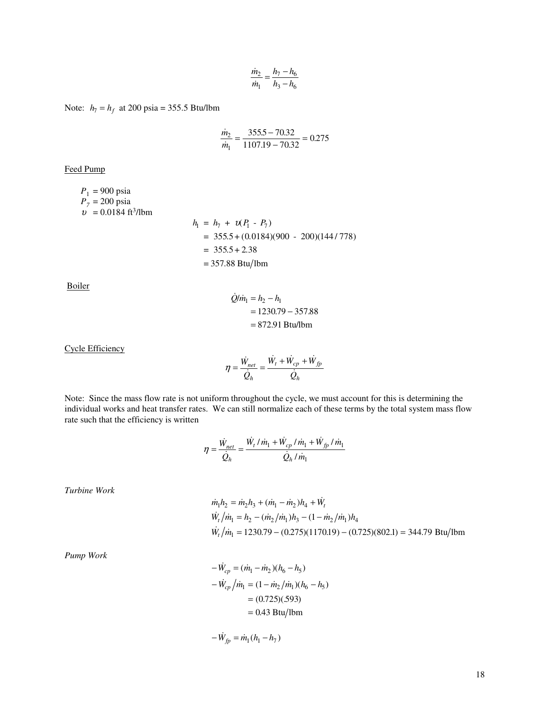$$
\frac{\dot{m}_2}{\dot{m}_1} = \frac{h_7 - h_6}{h_3 - h_6}
$$

Note:  $h_7 = h_f$  at 200 psia = 355.5 Btu/lbm

$$
\frac{\dot{m}_2}{\dot{m}_1} = \frac{355.5 - 70.32}{1107.19 - 70.32} = 0.275
$$

Feed Pump

$$
P_1 = 900 \text{ psia}
$$
  
\n
$$
P_7 = 200 \text{ psia}
$$
  
\n
$$
v = 0.0184 \text{ ft}^3/\text{lbm}
$$
  
\n
$$
h_1 = h_7 + v(P_1 - P_7)
$$
  
\n
$$
= 355.5 + (0.0184)(900 - 200)(144/778)
$$
  
\n
$$
= 355.5 + 2.38
$$
  
\n
$$
= 357.88 \text{ Btu/lbm}
$$

Boiler

$$
\dot{Q}/\dot{m}_1 = h_2 - h_1
$$
  
= 1230.79 - 357.88  
= 872.91 Btu/lbm

Cycle Efficiency

$$
\eta = \frac{\dot{W}_{net}}{\dot{Q}_h} = \frac{\dot{W}_t + \dot{W}_{cp} + \dot{W}_{fp}}{\dot{Q}_h}
$$

Note: Since the mass flow rate is not uniform throughout the cycle, we must account for this is determining the individual works and heat transfer rates. We can still normalize each of these terms by the total system mass flow rate such that the efficiency is written

$$
\eta = \frac{\dot{W}_{net}}{\dot{Q}_h} = \frac{\dot{W}_t / \dot{m}_1 + \dot{W}_{cp} / \dot{m}_1 + \dot{W}_{fp} / \dot{m}_1}{\dot{Q}_h / \dot{m}_1}
$$

*Turbine Work*

$$
\dot{m}_1 h_2 = \dot{m}_2 h_3 + (\dot{m}_1 - \dot{m}_2) h_4 + \dot{W}_t
$$
  
\n
$$
\dot{W}_t / \dot{m}_1 = h_2 - (\dot{m}_2 / \dot{m}_1) h_3 - (1 - \dot{m}_2 / \dot{m}_1) h_4
$$
  
\n
$$
\dot{W}_t / \dot{m}_1 = 1230.79 - (0.275)(1170.19) - (0.725)(802.1) = 344.79 \text{ Btu/lbm}
$$

*Pump Work*

$$
-\dot{W}_{cp} = (\dot{m}_1 - \dot{m}_2)(h_6 - h_5)
$$
  

$$
-\dot{W}_{cp}/\dot{m}_1 = (1 - \dot{m}_2/\dot{m}_1)(h_6 - h_5)
$$
  

$$
= (0.725)(.593)
$$
  

$$
= 0.43 \text{ Btu/lbm}
$$

$$
-\dot{W}_{fp} = \dot{m}_1(h_1 - h_7)
$$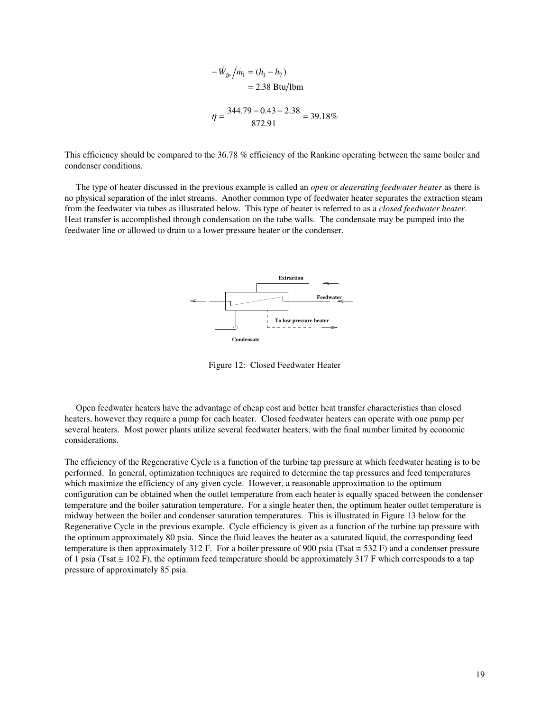$$
-\dot{W}_{fp} / \dot{m}_1 = (h_1 - h_7)
$$
  
= 2.38 Btu/lbm  

$$
\eta = \frac{344.79 - 0.43 - 2.38}{872.91} = 39.18\%
$$

This efficiency should be compared to the 36.78 % efficiency of the Rankine operating between the same boiler and condenser conditions.

The type of heater discussed in the previous example is called an *open* or *deaerating feedwater heater* as there is no physical separation of the inlet streams. Another common type of feedwater heater separates the extraction steam from the feedwater via tubes as illustrated below. This type of heater is referred to as a *closed feedwater heater*. Heat transfer is accomplished through condensation on the tube walls. The condensate may be pumped into the feedwater line or allowed to drain to a lower pressure heater or the condenser.



Figure 12: Closed Feedwater Heater

Open feedwater heaters have the advantage of cheap cost and better heat transfer characteristics than closed heaters, however they require a pump for each heater. Closed feedwater heaters can operate with one pump per several heaters. Most power plants utilize several feedwater heaters, with the final number limited by economic considerations.

The efficiency of the Regenerative Cycle is a function of the turbine tap pressure at which feedwater heating is to be performed. In general, optimization techniques are required to determine the tap pressures and feed temperatures which maximize the efficiency of any given cycle. However, a reasonable approximation to the optimum configuration can be obtained when the outlet temperature from each heater is equally spaced between the condenser temperature and the boiler saturation temperature. For a single heater then, the optimum heater outlet temperature is midway between the boiler and condenser saturation temperatures. This is illustrated in Figure 13 below for the Regenerative Cycle in the previous example. Cycle efficiency is given as a function of the turbine tap pressure with the optimum approximately 80 psia. Since the fluid leaves the heater as a saturated liquid, the corresponding feed temperature is then approximately 312 F. For a boiler pressure of 900 psia (Tsat  $\approx$  532 F) and a condenser pressure of 1 psia (Tsat  $\leq$  102 F), the optimum feed temperature should be approximately 317 F which corresponds to a tap pressure of approximately 85 psia.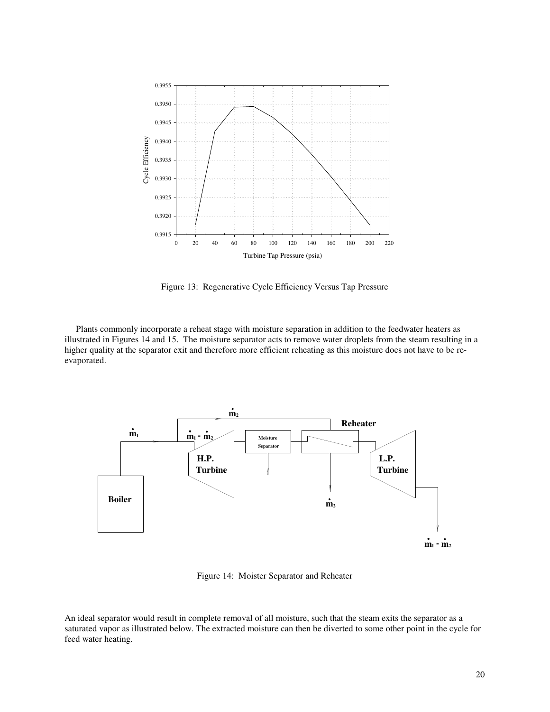

Figure 13: Regenerative Cycle Efficiency Versus Tap Pressure

Plants commonly incorporate a reheat stage with moisture separation in addition to the feedwater heaters as illustrated in Figures 14 and 15. The moisture separator acts to remove water droplets from the steam resulting in a higher quality at the separator exit and therefore more efficient reheating as this moisture does not have to be reevaporated.



Figure 14: Moister Separator and Reheater

An ideal separator would result in complete removal of all moisture, such that the steam exits the separator as a saturated vapor as illustrated below. The extracted moisture can then be diverted to some other point in the cycle for feed water heating.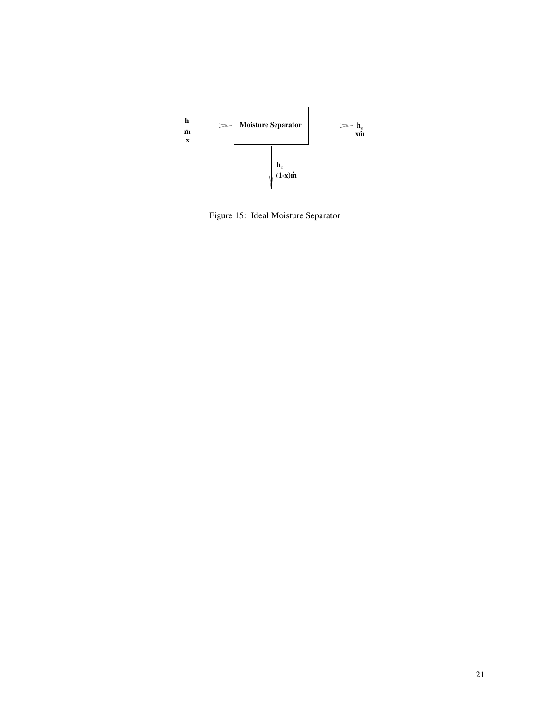

Figure 15: Ideal Moisture Separator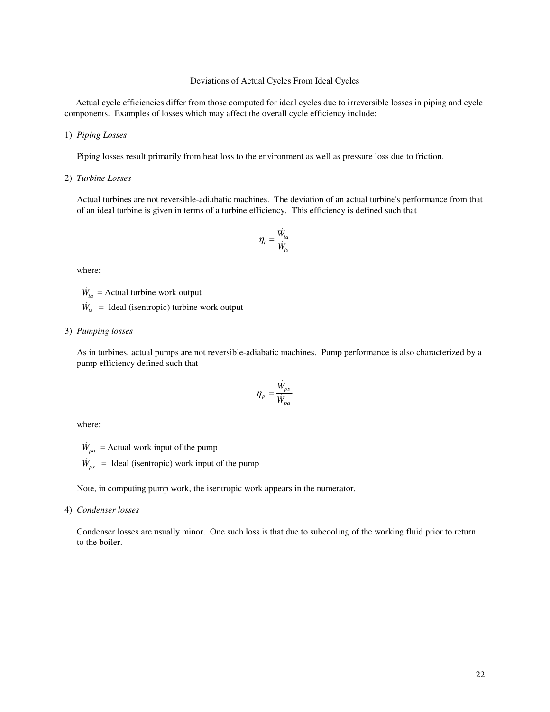## Deviations of Actual Cycles From Ideal Cycles

Actual cycle efficiencies differ from those computed for ideal cycles due to irreversible losses in piping and cycle components. Examples of losses which may affect the overall cycle efficiency include:

#### 1) *Piping Losses*

Piping losses result primarily from heat loss to the environment as well as pressure loss due to friction.

### 2) *Turbine Losses*

Actual turbines are not reversible-adiabatic machines. The deviation of an actual turbine's performance from that of an ideal turbine is given in terms of a turbine efficiency. This efficiency is defined such that

$$
\eta_t = \frac{\dot{W}_{ta}}{\dot{W}_{ts}}
$$

where:

 $\dot{W}_{ta}$  = Actual turbine work output

 $\dot{W}_{ts}$  = Ideal (isentropic) turbine work output

## 3) *Pumping losses*

As in turbines, actual pumps are not reversible-adiabatic machines. Pump performance is also characterized by a pump efficiency defined such that

$$
\eta_p = \frac{\dot{W}_{ps}}{\dot{W}_{pa}}
$$

where:

 $\dot{W}_{pa}$  = Actual work input of the pump

 $\dot{W}_{ps}$  = Ideal (isentropic) work input of the pump

Note, in computing pump work, the isentropic work appears in the numerator.

#### 4) *Condenser losses*

Condenser losses are usually minor. One such loss is that due to subcooling of the working fluid prior to return to the boiler.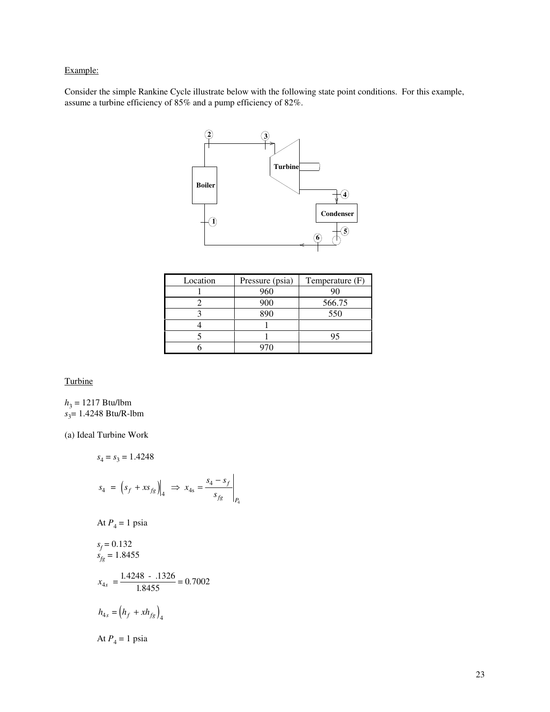# Example:

Consider the simple Rankine Cycle illustrate below with the following state point conditions. For this example, assume a turbine efficiency of 85% and a pump efficiency of 82%.



| Location | Pressure (psia) | Temperature (F) |
|----------|-----------------|-----------------|
|          | 960             | 90              |
|          | 900             | 566.75          |
|          | 890             | 550             |
|          |                 |                 |
|          |                 | 95              |
|          |                 |                 |

*P* 4

Turbine

 $h_3 = 1217$  Btu/lbm *s* 3 = 1.4248 Btu/R-lbm

(a) Ideal Turbine Work

$$
s_4 = s_3 = 1.4248
$$
  
\n
$$
s_4 = (s_f + xs_{fg})|_4 \implies x_{4s} = \frac{s_4 - s_f}{s_{fg}}
$$
  
\nAt  $P_4 = 1$  psia  
\n
$$
s_f = 0.132
$$
  
\n
$$
s_{fg} = 1.8455
$$
  
\n
$$
x_{4s} = \frac{1.4248 - 0.1326}{1.8455} = 0.7002
$$
  
\n
$$
h_{4s} = (h_f + xh_{fg})_4
$$
  
\nAt  $P_4 = 1$  psia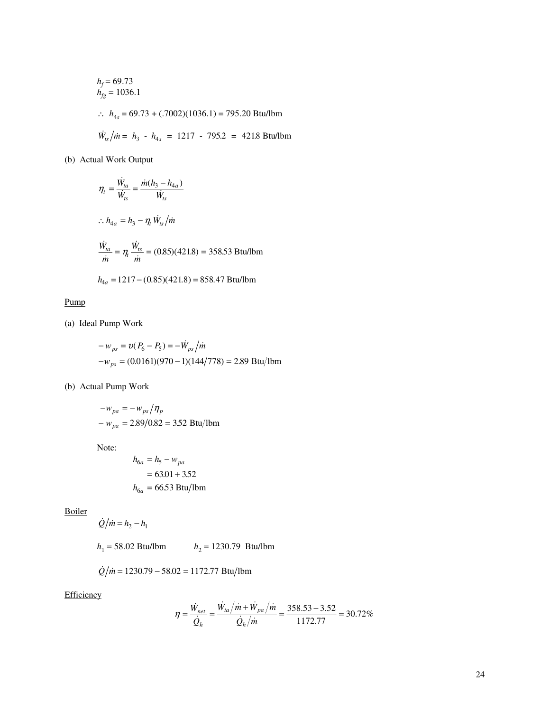$$
h_f = 69.73
$$
  
\n
$$
h_{fg} = 1036.1
$$
  
\n
$$
\therefore h_{4s} = 69.73 + (.7002)(1036.1) = 795.20 \text{ Btu/lbm}
$$
  
\n
$$
\dot{W}_{ts}/\dot{m} = h_3 - h_{4s} = 1217 - 795.2 = 421.8 \text{ Btu/lbm}
$$

(b) Actual Work Output

$$
\eta_t = \frac{\dot{W}_{ta}}{\dot{W}_{ts}} = \frac{\dot{m}(h_3 - h_{4a})}{\dot{W}_{ts}}
$$
  
:.  $h_{4a} = h_3 - \eta_t \dot{W}_{ts}/\dot{m}$   

$$
\frac{\dot{W}_{ta}}{\dot{m}} = \eta_t \frac{\dot{W}_{ts}}{\dot{m}} = (0.85)(421.8) = 358.53 \text{ Btu/lbm}
$$

$$
h_{4a} = 1217 - (0.85)(421.8) = 858.47 \text{ Btu/lbm}
$$

Pump

(a) Ideal Pump Work

$$
-w_{ps} = v(P_6 - P_5) = -\dot{W}_{ps} / \dot{m}
$$
  
-w\_{ps} = (0.0161)(970 - 1)(144/778) = 2.89 Btu/lbm

(b) Actual Pump Work

$$
-w_{pa} = -w_{ps}/\eta_p
$$
  
-  $w_{pa} = 2.89/0.82 = 3.52$  Btu/lbm

Note:

$$
h_{6a} = h_5 - w_{pa}
$$

$$
= 63.01 + 3.52
$$

$$
h_{6a} = 66.53 \text{ Btu/lbm}
$$

Boiler

$$
\dot{Q}/\dot{m} = h_2 - h_1
$$

 $h_1 = 58.02$  Btu/lbm  $h_2 = 1230.79$  Btu/lbm

$$
\dot{Q}/\dot{m} = 1230.79 - 58.02 = 1172.77 \text{ Btu/lbm}
$$

**Efficiency** 

$$
\eta = \frac{\dot{W}_{net}}{\dot{Q}_h} = \frac{\dot{W}_{ta}/\dot{m} + \dot{W}_{pa}/\dot{m}}{\dot{Q}_h/\dot{m}} = \frac{358.53 - 3.52}{1172.77} = 30.72\%
$$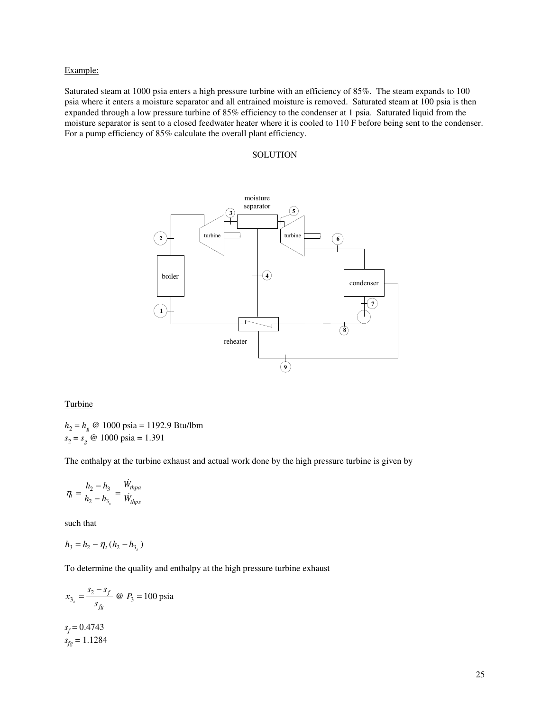## Example:

Saturated steam at 1000 psia enters a high pressure turbine with an efficiency of 85%. The steam expands to 100 psia where it enters a moisture separator and all entrained moisture is removed. Saturated steam at 100 psia is then expanded through a low pressure turbine of 85% efficiency to the condenser at 1 psia. Saturated liquid from the moisture separator is sent to a closed feedwater heater where it is cooled to 110 F before being sent to the condenser. For a pump efficiency of 85% calculate the overall plant efficiency.

## **SOLUTION**



## **Turbine**

*h*2 = *h<sup>g</sup>* @ 1000 psia = 1192.9 Btu/lbm  $s_2 = s_g \text{ } \textcircled{a} \text{ } 1000 \text{ psia} = 1.391$ 

The enthalpy at the turbine exhaust and actual work done by the high pressure turbine is given by

$$
\eta_t = \frac{h_2 - h_3}{h_2 - h_3} = \frac{\dot{W}_{thpa}}{\dot{W}_{thps}}
$$

such that

$$
h_3 = h_2 - \eta_t (h_2 - h_{3_s})
$$

To determine the quality and enthalpy at the high pressure turbine exhaust

$$
x_{3_s} = \frac{s_2 - s_f}{s_{fg}} \text{ @ } P_3 = 100 \text{ psia}
$$

 $s_f = 0.4743$  $s_{fg} = 1.1284$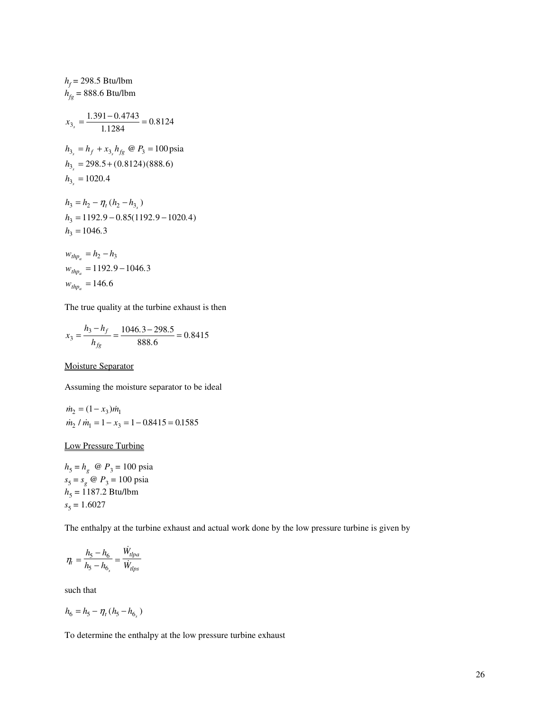$$
h_f = 298.5 \text{ Btu/lbm}
$$
  
\n
$$
h_{fg} = 888.6 \text{ Btu/lbm}
$$
  
\n
$$
x_{3_s} = \frac{1.391 - 0.4743}{1.1284} = 0.8124
$$
  
\n
$$
h_{3_s} = h_f + x_{3_s} h_{fg} \text{ @ } P_3 = 100 \text{ psia}
$$
  
\n
$$
h_{3_s} = 298.5 + (0.8124)(888.6)
$$
  
\n
$$
h_{3_s} = 1020.4
$$
  
\n
$$
h_3 = h_2 - \eta_t (h_2 - h_{3_s})
$$
  
\n
$$
h_3 = 1192.9 - 0.85(1192.9 - 1020.4)
$$
  
\n
$$
h_3 = 1046.3
$$
  
\n
$$
w_{thp_a} = h_2 - h_3
$$
  
\n
$$
w_{thp_a} = 1192.9 - 1046.3
$$

$$
w_{thp_a}=146.6
$$

The true quality at the turbine exhaust is then

$$
x_3 = \frac{h_3 - h_f}{h_{fg}} = \frac{1046.3 - 298.5}{888.6} = 0.8415
$$

# Moisture Separator

Assuming the moisture separator to be ideal

$$
\dot{m}_2 = (1 - x_3)\dot{m}_1
$$
  

$$
\dot{m}_2 / \dot{m}_1 = 1 - x_3 = 1 - 0.8415 = 0.1585
$$

# Low Pressure Turbine

 $h_5 = h_g$  @  $P_3 = 100$  psia  $s_5 = s_g \ @ \ P_3 = 100 \text{ psia}$  $h_5 = 1187.2$  Btu/lbm  $s_5 = 1.6027$ 

The enthalpy at the turbine exhaust and actual work done by the low pressure turbine is given by

$$
\eta_t = \frac{h_5 - h_6}{h_5 - h_{6_s}} = \frac{\dot{W}_{tlpa}}{\dot{W}_{tlps}}
$$

such that

$$
h_6 = h_5 - \eta_t (h_5 - h_{6_s})
$$

To determine the enthalpy at the low pressure turbine exhaust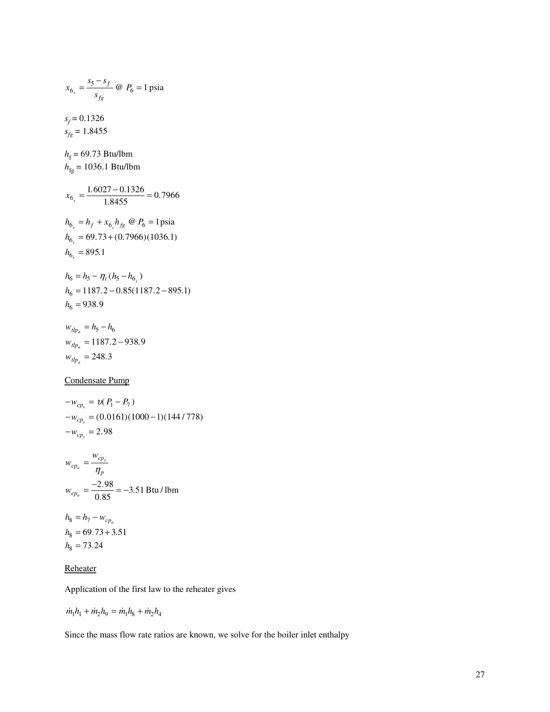$$
x_{6_s} = \frac{s_5 - s_f}{s_{fg}} \text{ @ } P_6 = 1 \text{ psia}
$$
\n
$$
s_f = 0.1326
$$
\n
$$
s_{fg} = 1.8455
$$
\n
$$
h_f = 69.73 \text{ Btu/lbm}
$$
\n
$$
h_{fg} = 1036.1 \text{ Btu/lbm}
$$
\n
$$
x_{6_s} = \frac{1.6027 - 0.1326}{1.8455} = 0.7966
$$
\n
$$
h_{6_s} = h_f + x_{6_s} h_{fg} \text{ @ } P_6 = 1 \text{ psia}
$$
\n
$$
h_{6_s} = 69.73 + (0.7966)(1036.1)
$$
\n
$$
h_{6_s} = 895.1
$$
\n
$$
h_6 = h_5 - \eta_t (h_5 - h_{6_s})
$$
\n
$$
h_6 = 1187.2 - 0.85(1187.2 - 895.1)
$$
\n
$$
h_6 = 938.9
$$
\n
$$
w_{dp_a} = h_5 - h_6
$$
\n
$$
w_{dp_a} = 1187.2 - 938.9
$$

 $w_{tlp_a} = 248.3$ 

# Condensate Pump

$$
-w_{cp_s} = v(P_1 - P_7)
$$
  
-
$$
w_{cp_s} = (0.0161)(1000 - 1)(144/778)
$$
  
-
$$
w_{cp_s} = 2.98
$$

$$
w_{cp_a} = \frac{w_{cp_s}}{\eta_p}
$$
  

$$
w_{cp_a} = \frac{-2.98}{0.85} = -3.51 \text{ Btu/lbm}
$$

 $h_8 = h_7 - w_{cp_a}$  $h_8 = 69.73 + 3.51$  $h_8 = 73.24$ 

## **Reheater**

Application of the first law to the reheater gives

$$
\dot{m}_1 h_1 + \dot{m}_2 h_9 = \dot{m}_1 h_8 + \dot{m}_2 h_4
$$

Since the mass flow rate ratios are known, we solve for the boiler inlet enthalpy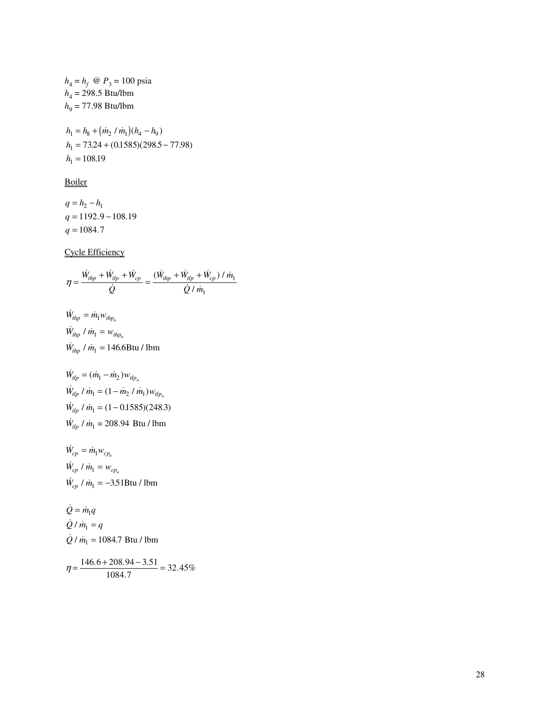$h_4 = h_f \ @ \ P_3 = 100 \text{ psia}$  $h_4 = 298.5$  Btu/lbm  $h_9 = 77.98$  Btu/lbm

 $h_1 = h_8 + (m_2 / m_1)(h_4 - h_9)$  $h_1 = 73.24$ <br>  $h_1 = 108.19$  $\frac{1}{1}$  $= 73.24 + (0.1585)(298.5 - 77.98)$ =  $h_8 + (m_2 / m_1)$ <br>= 73.24 + (0.158)<br>= 108.19  $.24 + (0.1585)(298.5 - 77.98)$ 

**Boiler** 

 $q = h_2 - h_1$  $q = 1192.9$ <br> $q = 1084.7$  $= 1192.9 - 108.19$ 

Cycle Efficiency

$$
\eta = \frac{\dot{W}_{thp} + \dot{W}_{thp} + \dot{W}_{cp}}{\dot{Q}} = \frac{(\dot{W}_{thp} + \dot{W}_{thp} + \dot{W}_{cp}) / \dot{m}_1}{\dot{Q} / \dot{m}_1}
$$

$$
\dot{W}_{hhp} = \dot{m}_1 w_{thp_a}
$$
\n
$$
\dot{W}_{hhp} / \dot{m}_1 = w_{thp_a}
$$
\n
$$
\dot{W}_{hhp} / \dot{m}_1 = 146.6 \text{Btu} / \text{lbm}
$$

$$
\dot{W}_{dp} = (\dot{m}_1 - \dot{m}_2) w_{dp_a}
$$
\n
$$
\dot{W}_{dp} / \dot{m}_1 = (1 - \dot{m}_2 / \dot{m}_1) w_{dp_a}
$$
\n
$$
\dot{W}_{dp} / \dot{m}_1 = (1 - 0.1585)(248.3)
$$
\n
$$
\dot{W}_{dp} / \dot{m}_1 = 208.94 \text{ Btu} / \text{lbm}
$$

 $\dot{W}_{cp}=\dot{m}_{\rm l} w_{cp_a}$  $\dot{W_{cp}}$  /  $\dot{m_1} = w_{cp_a}$  $\dot{W}_{cp}$  /  $\dot{m}_1 = -3.51 \text{B} \text{tu}$  / lbm

 $\dot{Q} = \dot{m}_1 q$  $\dot{Q} / m_1 = q$  $\dot{Q}$  /  $\dot{m}_1$  = 1084.7 Btu / lbm

 $n = \frac{146.6 + 208.94 - 3.51}{1084.7} = 32.45\%$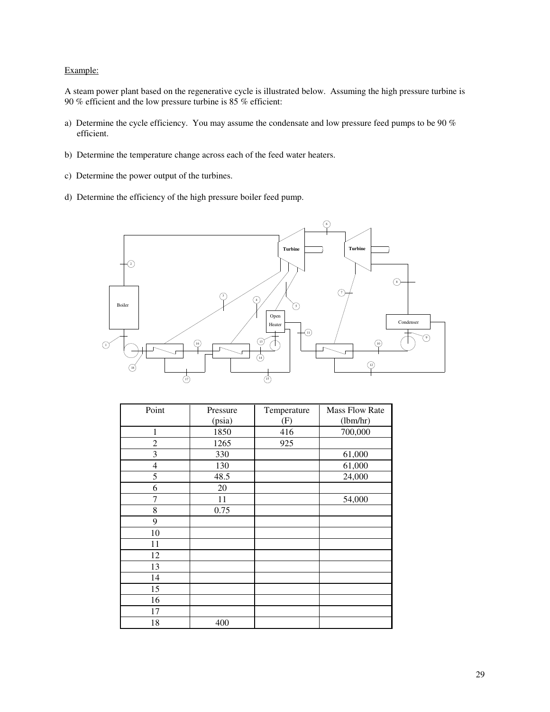# Example:

A steam power plant based on the regenerative cycle is illustrated below. Assuming the high pressure turbine is % efficient and the low pressure turbine is 85 % efficient:

- a) Determine the cycle efficiency. You may assume the condensate and low pressure feed pumps to be 90 % efficient.
- b) Determine the temperature change across each of the feed water heaters.
- c) Determine the power output of the turbines.
- d) Determine the efficiency of the high pressure boiler feed pump.



| Point          | Pressure | Temperature | <b>Mass Flow Rate</b> |
|----------------|----------|-------------|-----------------------|
|                | (psia)   | (F)         | (lbm/hr)              |
| 1              | 1850     | 416         | 700,000               |
| 2              | 1265     | 925         |                       |
| 3              | 330      |             | 61,000                |
| $\overline{4}$ | 130      |             | 61,000                |
| 5              | 48.5     |             | 24,000                |
| 6              | 20       |             |                       |
| 7              | 11       |             | 54,000                |
| 8              | 0.75     |             |                       |
| 9              |          |             |                       |
| 10             |          |             |                       |
| 11             |          |             |                       |
| 12             |          |             |                       |
| 13             |          |             |                       |
| 14             |          |             |                       |
| 15             |          |             |                       |
| 16             |          |             |                       |
| 17             |          |             |                       |
| 18             | 400      |             |                       |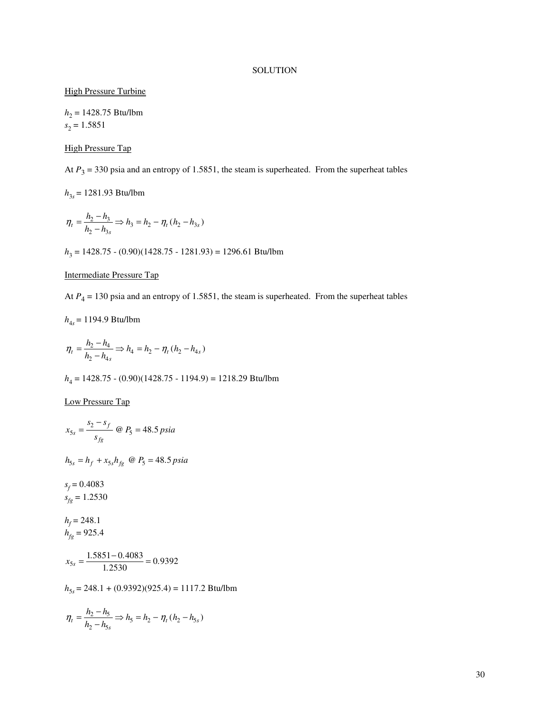# **SOLUTION**

# **High Pressure Turbine**

*h*2 = 1428.75 Btu/lbm  $s_2 = 1.5851$ 

# High Pressure Tap

At  $P_3$  = 330 psia and an entropy of 1.5851, the steam is superheated. From the superheat tables

*h*3*s* = 1281.93 Btu/lbm

$$
\eta_t = \frac{h_2 - h_3}{h_2 - h_{3s}} \Rightarrow h_3 = h_2 - \eta_t (h_2 - h_{3s})
$$

*h*3 = 1428.75 - (0.90)(1428.75 - 1281.93) = 1296.61 Btu/lbm

# Intermediate Pressure Tap

At  $P_4$  = 130 psia and an entropy of 1.5851, the steam is superheated. From the superheat tables

$$
h_{4s} = 1194.9 \text{ Btu/lbm}
$$

$$
\eta_t = \frac{h_2 - h_4}{h_2 - h_{4s}} \Rightarrow h_4 = h_2 - \eta_t (h_2 - h_{4s})
$$

*h*4 = 1428.75 - (0.90)(1428.75 - 1194.9) = 1218.29 Btu/lbm

# Low Pressure Tap

$$
x_{5s} = \frac{s_2 - s_f}{s_{fg}} \text{ @ } P_5 = 48.5 \text{ psia}
$$
\n
$$
h_{5s} = h_f + x_{5s}h_{fg} \text{ @ } P_5 = 48.5 \text{ psia}
$$
\n
$$
s_f = 0.4083
$$
\n
$$
s_{fg} = 1.2530
$$
\n
$$
h_f = 248.1
$$
\n
$$
h_{fg} = 925.4
$$
\n
$$
x_{5s} = \frac{1.5851 - 0.4083}{1.2530} = 0.9392
$$
\n
$$
h_{5s} = 248.1 + (0.9392)(925.4) = 1117.2 \text{ Btu/lbm}
$$

$$
\eta_t = \frac{h_2 - h_5}{h_2 - h_{5s}} \Rightarrow h_5 = h_2 - \eta_t (h_2 - h_{5s})
$$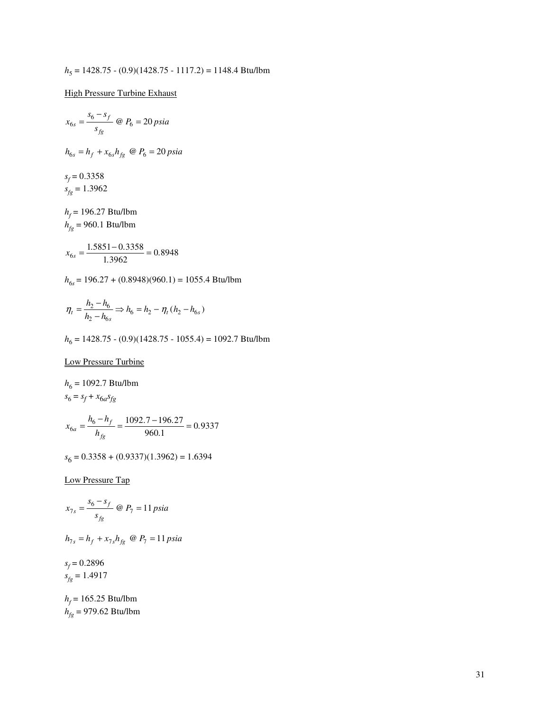$$
h_5 = 1428.75 - (0.9)(1428.75 - 1117.2) = 1148.4 \text{ Btu/lbm}
$$

**High Pressure Turbine Exhaust** 

$$
x_{6s} = \frac{s_6 - s_f}{s_{fg}} \text{ @ } P_6 = 20 \text{ psia}
$$
\n
$$
h_{6s} = h_f + x_{6s} h_{fg} \text{ @ } P_6 = 20 \text{ psia}
$$
\n
$$
s_f = 0.3358
$$
\n
$$
s_{fg} = 1.3962
$$
\n
$$
h_f = 196.27 \text{ Btu/lbm}
$$
\n
$$
h_{fg} = 960.1 \text{ Btu/lbm}
$$
\n
$$
x_{6s} = \frac{1.5851 - 0.3358}{1.5851 - 0.3358} = 0.8948
$$

$$
x_{6s} = \frac{1.3831 - 0.3338}{1.3962} = 0.8948
$$

*h*<sub>6*s*</sub> = 196.27 + (0.8948)(960.1) = 1055.4 Btu/lbm

$$
\eta_t = \frac{h_2 - h_6}{h_2 - h_{6s}} \Rightarrow h_6 = h_2 - \eta_t (h_2 - h_{6s})
$$

*h*<sub>6</sub> = 1428.75 - (0.9)(1428.75 - 1055.4) = 1092.7 Btu/lbm

Low Pressure Turbine

$$
h_6 = 1092.7 \text{ Btu/lbm}
$$
  
\n
$$
s_6 = s_f + x_{6a} s_{fg}
$$
  
\n
$$
x_{6a} = \frac{h_6 - h_f}{h_{fg}} = \frac{1092.7 - 196.27}{960.1} = 0.9337
$$

*s*6 = 0.3358 + (0.9337)(1.3962) = 1.6394

Low Pressure Tap

$$
x_{7s} = \frac{s_6 - s_f}{s_{fg}} \text{ @ } P_7 = 11 \text{ psia}
$$

$$
h_{7s} = h_f + x_{7s} h_{fg} \quad \text{(a } P_7 = 11 \text{ psia}
$$

*s f* = 0.2896  $s_{fg} = 1.4917$ 

 $h_f$  = 165.25 Btu/lbm *hfg* = 979.62 Btu/lbm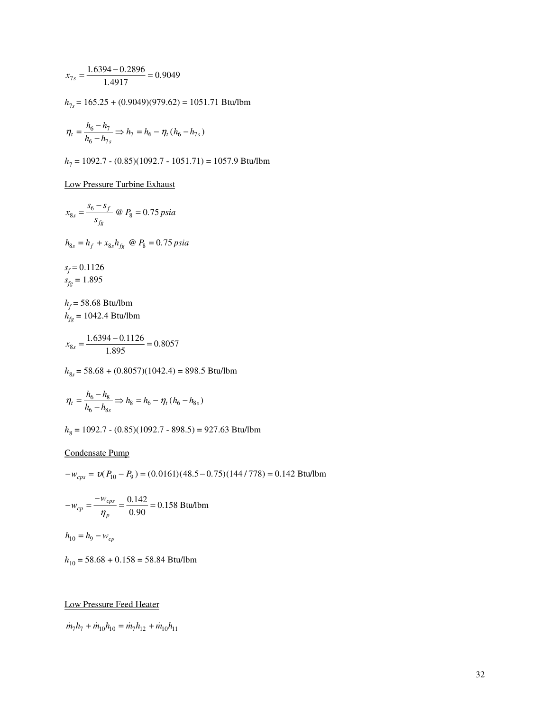$$
x_{7s} = \frac{1.6394 - 0.2896}{1.4917} = 0.9049
$$
\n
$$
h_{7s} = 165.25 + (0.9049)(979.62) = 1051.71 \text{ Btu/lbm}
$$
\n
$$
\eta_t = \frac{h_6 - h_7}{h_6 - h_{7s}} \Rightarrow h_7 = h_6 - \eta_t (h_6 - h_{7s})
$$
\n
$$
h_7 = 1092.7 - (0.85)(1092.7 - 1051.71) = 1057.9 \text{ Btu/lbm}
$$
\n
$$
\underline{\text{Low Pressure Turbine Exhaust}}
$$
\n
$$
x_{8s} = \frac{s_6 - s_f}{s_{fs}} \text{ @ } P_8 = 0.75 \text{ psia}
$$
\n
$$
h_{8s} = h_f + x_{8s} h_{fg} \text{ @ } P_8 = 0.75 \text{ psia}
$$
\n
$$
s_f = 0.1126
$$
\n
$$
s_{fg} = 1.895
$$
\n
$$
h_f = 58.68 \text{ Btu/lbm}
$$
\n
$$
h_{fg} = 1042.4 \text{ Btu/lbm}
$$
\n
$$
x_{8s} = \frac{1.6394 - 0.1126}{1.895} = 0.8057
$$

*h*<sub>8*s*</sub> = 58.68 + (0.8057)(1042.4) = 898.5 Btu/lbm

$$
\eta_t = \frac{h_6 - h_8}{h_6 - h_{8s}} \Rightarrow h_8 = h_6 - \eta_t (h_6 - h_{8s})
$$

*h*<sub>8</sub> = 1092.7 - (0.85)(1092.7 - 898.5) = 927.63 Btu/lbm

# Condensate Pump

$$
-w_{cps} = v(P_{10} - P_9) = (0.0161)(48.5 - 0.75)(144 / 778) = 0.142
$$
 Btu/lbm  

$$
-w_{cp} = \frac{-w_{cps}}{\eta_p} = \frac{0.142}{0.90} = 0.158
$$
 Btu/lbm  

$$
h_{10} = h_9 - w_{cp}
$$

*h*10 = 58.68 + 0.158 = 58.84 Btu/lbm

# Low Pressure Feed Heater

 $\dot{m}_7 h_7 + \dot{m}_{10} h_{10} = \dot{m}_7 h_{12} + \dot{m}_{10} h_{11}$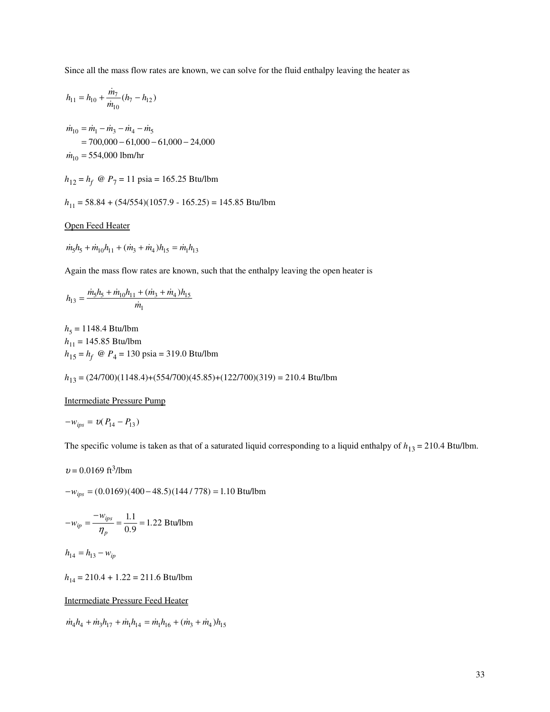Since all the mass flow rates are known, we can solve for the fluid enthalpy leaving the heater as

$$
h_{11}=h_{10}+\frac{\dot{m}_7}{\dot{m}_{10}}(h_7-h_{12})
$$

 $\dot{m}_{10}$  = 554,000 lbm/hr  $= 700,000 - 61,000 - 61,000 - 24,000$  $\dot{m}_{10} = \dot{m}_1 - \dot{m}_3 - \dot{m}_4 - \dot{m}_5$ 

- $h_{12} = h_f \ @\ P_7 = 11 \text{ psia} = 165.25 \text{ Btu/lbm}$
- *h*11 = 58.84 + (54/554)(1057.9 165.25) = 145.85 Btu/lbm

## Open Feed Heater

$$
\dot{m}_5 h_5 + \dot{m}_{10} h_{11} + (\dot{m}_3 + \dot{m}_4) h_{15} = \dot{m}_1 h_{13}
$$

Again the mass flow rates are known, such that the enthalpy leaving the open heater is

$$
h_{13} = \frac{\dot{m}_5 h_5 + \dot{m}_{10} h_{11} + (\dot{m}_3 + \dot{m}_4) h_{15}}{\dot{m}_1}
$$

*h*<sub>5</sub> = 1148.4 Btu/lbm *h*<sub>11</sub> = 145.85 Btu/lbm  $h_{15} = h_f \ @\ P_4 = 130 \text{ psia} = 319.0 \text{ Btu/lbm}$ 

*h*<sup>13</sup> = (24/700)(1148.4)+(554/700)(45.85)+(122/700)(319) = 210.4 Btu/lbm

## Intermediate Pressure Pump

$$
-w_{ips} = v(P_{14} - P_{13})
$$

The specific volume is taken as that of a saturated liquid corresponding to a liquid enthalpy of  $h_{13} = 210.4$  Btu/lbm.

$$
v = 0.0169
$$
 ft<sup>3</sup>/lbm

−*wips* = (0.0169)(400 − 48.5)(144 / 778) = 1.10 Btu/lbm

$$
-w_{ip} = \frac{-w_{ips}}{\eta_p} = \frac{1.1}{0.9} = 1.22 \text{ Btu/lbm}
$$

$$
h_{14} = h_{13} - w_{ip}
$$

*h*14 = 210.4 + 1.22 = 211.6 Btu/lbm

# Intermediate Pressure Feed Heater

 $m_4h_4 + m_3h_{17} + m_1h_{14} = m_1h_{16} + (m_3 + m_4)h_{15}$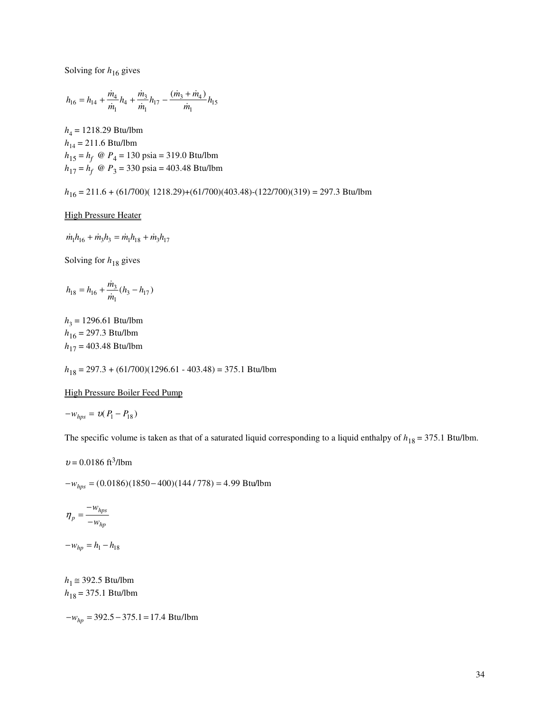Solving for  $h_{16}$  gives

$$
h_{16}=h_{14}+\frac{\dot{m}_4}{\dot{m}_1}h_4+\frac{\dot{m}_3}{\dot{m}_1}h_{17}-\frac{(\dot{m}_3+\dot{m}_4)}{\dot{m}_1}h_{15}
$$

*h*4 = 1218.29 Btu/lbm *h*14 = 211.6 Btu/lbm *h*<sup>15</sup> = *h<sup>f</sup>* @ *P*<sup>4</sup> = 130 psia = 319.0 Btu/lbm *h*<sup>17</sup> = *h<sup>f</sup>* @ *P*<sup>3</sup> = 330 psia = 403.48 Btu/lbm

*h*<sup>16</sup> = 211.6 + (61/700)( 1218.29)+(61/700)(403.48)-(122/700)(319) = 297.3 Btu/lbm

### High Pressure Heater

 $\dot{m}_1 h_{16} + \dot{m}_3 h_3 = \dot{m}_1 h_{18} + \dot{m}_3 h_{17}$ 

Solving for  $h_{18}$  gives

$$
h_{18}=h_{16}+\frac{\dot{m}_3}{\dot{m}_1}(h_3-h_{17})
$$

*h*3 = 1296.61 Btu/lbm *h*<sup>16</sup> = 297.3 Btu/lbm *h*<sup>17</sup> = 403.48 Btu/lbm

*h*<sup>18</sup> = 297.3 + (61/700)(1296.61 - 403.48) = 375.1 Btu/lbm

### High Pressure Boiler Feed Pump

 $-w_{hps} = v(P_1 - P_{18})$ 

The specific volume is taken as that of a saturated liquid corresponding to a liquid enthalpy of  $h_{18} = 375.1$  Btu/lbm.

 $v = 0.0186 \text{ ft}^3/\text{lbm}$ 

−*whps* = (0.0186)(1850 − 400)(144 / 778) = 4.99 Btu/lbm

$$
\eta_p = \frac{-w_{hps}}{-w_{hp}}
$$

 $-w_{hp} = h_1 - h_{18}$ 

 $h_1 \approx 392.5$  Btu/lbm *h*<sup>18</sup> = 375.1 Btu/lbm

−*whp* = 392.5 − 375.1 = 17.4 Btu/lbm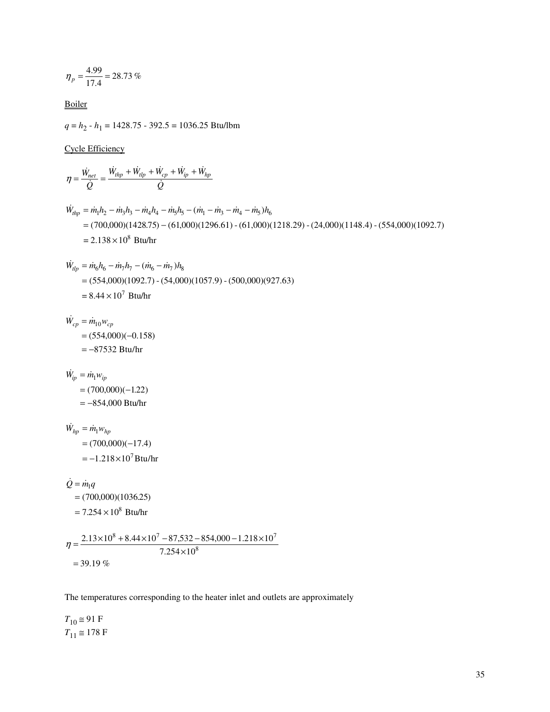$$
\eta_p = \frac{4.99}{17.4} = 28.73\%
$$

Boiler

*q* = *h*<sup>2</sup> - *h*<sup>1</sup> = 1428.75 - 392.5 = 1036.25 Btu/lbm

Cycle Efficiency

$$
\eta = \frac{\dot{W}_{net}}{Q} = \frac{\dot{W}_{tip} + \dot{W}_{ip} + \dot{W}_{ip} + \dot{W}_{ip} + \dot{W}_{ip}}{Q}
$$
\n
$$
\dot{W}_{mp} = \dot{m}_1 h_2 - \dot{m}_3 h_3 - \dot{m}_4 h_4 - \dot{m}_5 h_5 - (\dot{m}_1 - \dot{m}_3 - \dot{m}_4 - \dot{m}_5) h_6
$$
\n
$$
= (700,000)(1428.75) - (61,000)(129.6.61) - (61,000)(1218.29) - (24,000)(1148.4) - (554,000)(1092.7)
$$
\n
$$
= 2.138 \times 10^8 \text{ Btu/hr}
$$
\n
$$
\dot{W}_{tip} = \dot{m}_0 h_6 - \dot{m}_1 h_7 - (\dot{m}_6 - \dot{m}_7) h_8
$$
\n
$$
= (554,000)(1092.7) - (54,000)(1057.9) - (500,000)(927.63)
$$
\n
$$
= 8.44 \times 10^7 \text{ Btu/hr}
$$
\n
$$
\dot{W}_{cp} = \dot{m}_1 0 v_{cp}
$$
\n
$$
= (754,000)(-0.158)
$$
\n
$$
= -87532 \text{ Btu/hr}
$$
\n
$$
\dot{W}_{hp} = \dot{m}_1 v_{hp}
$$
\n
$$
= (700,000)(-122)
$$
\n
$$
= -854,000 \text{ Btu/hr}
$$
\n
$$
\dot{W}_{hp} = \dot{m}_1 v_{hp}
$$
\n
$$
= (700,000)(-17.4)
$$
\n
$$
= -1.218 \times 10^7 \text{ Btu/hr}
$$
\n
$$
\dot{Q} = \dot{m}_1 q
$$
\n
$$
= (700,000)(1036.25)
$$
\n
$$
= 7.254 \times 10^8 \text{ Btu/hr}
$$
\n
$$
\eta = \frac{2.13 \times 10^8 + 8.44 \times
$$

The temperatures corresponding to the heater inlet and outlets are approximately

 $T_{10} \approx 91 \text{ F}$  $T_{11} \approx 178 \text{ F}$